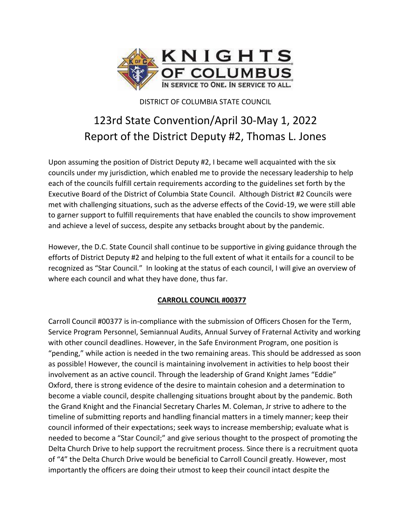

DISTRICT OF COLUMBIA STATE COUNCIL

# 123rd State Convention/April 30-May 1, 2022 Report of the District Deputy #2, Thomas L. Jones

Upon assuming the position of District Deputy #2, I became well acquainted with the six councils under my jurisdiction, which enabled me to provide the necessary leadership to help each of the councils fulfill certain requirements according to the guidelines set forth by the Executive Board of the District of Columbia State Council. Although District #2 Councils were met with challenging situations, such as the adverse effects of the Covid-19, we were still able to garner support to fulfill requirements that have enabled the councils to show improvement and achieve a level of success, despite any setbacks brought about by the pandemic.

However, the D.C. State Council shall continue to be supportive in giving guidance through the efforts of District Deputy #2 and helping to the full extent of what it entails for a council to be recognized as "Star Council." In looking at the status of each council, I will give an overview of where each council and what they have done, thus far.

# **CARROLL COUNCIL #00377**

Carroll Council #00377 is in-compliance with the submission of Officers Chosen for the Term, Service Program Personnel, Semiannual Audits, Annual Survey of Fraternal Activity and working with other council deadlines. However, in the Safe Environment Program, one position is "pending," while action is needed in the two remaining areas. This should be addressed as soon as possible! However, the council is maintaining involvement in activities to help boost their involvement as an active council. Through the leadership of Grand Knight James "Eddie" Oxford, there is strong evidence of the desire to maintain cohesion and a determination to become a viable council, despite challenging situations brought about by the pandemic. Both the Grand Knight and the Financial Secretary Charles M. Coleman, Jr strive to adhere to the timeline of submitting reports and handling financial matters in a timely manner; keep their council informed of their expectations; seek ways to increase membership; evaluate what is needed to become a "Star Council;" and give serious thought to the prospect of promoting the Delta Church Drive to help support the recruitment process. Since there is a recruitment quota of "4" the Delta Church Drive would be beneficial to Carroll Council greatly. However, most importantly the officers are doing their utmost to keep their council intact despite the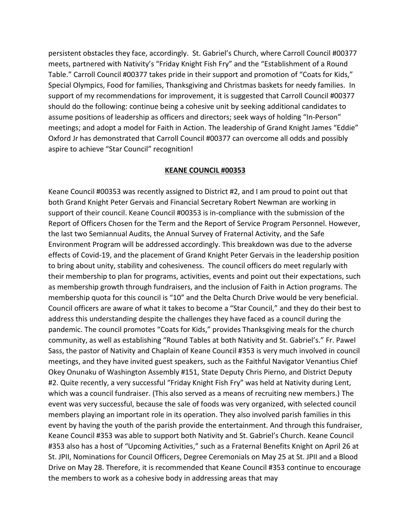persistent obstacles they face, accordingly. St. Gabriel's Church, where Carroll Council #00377 meets, partnered with Nativity's "Friday Knight Fish Fry" and the "Establishment of a Round Table." Carroll Council #00377 takes pride in their support and promotion of "Coats for Kids," Special Olympics, Food for families, Thanksgiving and Christmas baskets for needy families. In support of my recommendations for improvement, it is suggested that Carroll Council #00377 should do the following: continue being a cohesive unit by seeking additional candidates to assume positions of leadership as officers and directors; seek ways of holding "In-Person" meetings; and adopt a model for Faith in Action. The leadership of Grand Knight James "Eddie" Oxford Jr has demonstrated that Carroll Council #00377 can overcome all odds and possibly aspire to achieve "Star Council" recognition!

# **KEANE COUNCIL #00353**

Keane Council #00353 was recently assigned to District #2, and I am proud to point out that both Grand Knight Peter Gervais and Financial Secretary Robert Newman are working in support of their council. Keane Council #00353 is in-compliance with the submission of the Report of Officers Chosen for the Term and the Report of Service Program Personnel. However, the last two Semiannual Audits, the Annual Survey of Fraternal Activity, and the Safe Environment Program will be addressed accordingly. This breakdown was due to the adverse effects of Covid-19, and the placement of Grand Knight Peter Gervais in the leadership position to bring about unity, stability and cohesiveness. The council officers do meet regularly with their membership to plan for programs, activities, events and point out their expectations, such as membership growth through fundraisers, and the inclusion of Faith in Action programs. The membership quota for this council is "10" and the Delta Church Drive would be very beneficial. Council officers are aware of what it takes to become a "Star Council," and they do their best to address this understanding despite the challenges they have faced as a council during the pandemic. The council promotes "Coats for Kids," provides Thanksgiving meals for the church community, as well as establishing "Round Tables at both Nativity and St. Gabriel's." Fr. Pawel Sass, the pastor of Nativity and Chaplain of Keane Council #353 is very much involved in council meetings, and they have invited guest speakers, such as the Faithful Navigator Venantius Chief Okey Onunaku of Washington Assembly #151, State Deputy Chris Pierno, and District Deputy #2. Quite recently, a very successful "Friday Knight Fish Fry" was held at Nativity during Lent, which was a council fundraiser. (This also served as a means of recruiting new members.) The event was very successful, because the sale of foods was very organized, with selected council members playing an important role in its operation. They also involved parish families in this event by having the youth of the parish provide the entertainment. And through this fundraiser, Keane Council #353 was able to support both Nativity and St. Gabriel's Church. Keane Council #353 also has a host of "Upcoming Activities," such as a Fraternal Benefits Knight on April 26 at St. JPII, Nominations for Council Officers, Degree Ceremonials on May 25 at St. JPII and a Blood Drive on May 28. Therefore, it is recommended that Keane Council #353 continue to encourage the members to work as a cohesive body in addressing areas that may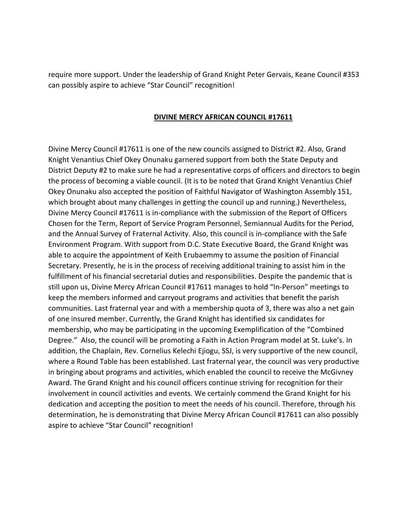require more support. Under the leadership of Grand Knight Peter Gervais, Keane Council #353 can possibly aspire to achieve "Star Council" recognition!

#### **DIVINE MERCY AFRICAN COUNCIL #17611**

Divine Mercy Council #17611 is one of the new councils assigned to District #2. Also, Grand Knight Venantius Chief Okey Onunaku garnered support from both the State Deputy and District Deputy #2 to make sure he had a representative corps of officers and directors to begin the process of becoming a viable council. (It is to be noted that Grand Knight Venantius Chief Okey Onunaku also accepted the position of Faithful Navigator of Washington Assembly 151, which brought about many challenges in getting the council up and running.) Nevertheless, Divine Mercy Council #17611 is in-compliance with the submission of the Report of Officers Chosen for the Term, Report of Service Program Personnel, Semiannual Audits for the Period, and the Annual Survey of Fraternal Activity. Also, this council is in-compliance with the Safe Environment Program. With support from D.C. State Executive Board, the Grand Knight was able to acquire the appointment of Keith Erubaemmy to assume the position of Financial Secretary. Presently, he is in the process of receiving additional training to assist him in the fulfillment of his financial secretarial duties and responsibilities. Despite the pandemic that is still upon us, Divine Mercy African Council #17611 manages to hold "In-Person" meetings to keep the members informed and carryout programs and activities that benefit the parish communities. Last fraternal year and with a membership quota of 3, there was also a net gain of one insured member. Currently, the Grand Knight has identified six candidates for membership, who may be participating in the upcoming Exemplification of the "Combined Degree." Also, the council will be promoting a Faith in Action Program model at St. Luke's. In addition, the Chaplain, Rev. Cornelius Kelechi Ejiogu, SSJ, is very supportive of the new council, where a Round Table has been established. Last fraternal year, the council was very productive in bringing about programs and activities, which enabled the council to receive the McGivney Award. The Grand Knight and his council officers continue striving for recognition for their involvement in council activities and events. We certainly commend the Grand Knight for his dedication and accepting the position to meet the needs of his council. Therefore, through his determination, he is demonstrating that Divine Mercy African Council #17611 can also possibly aspire to achieve "Star Council" recognition!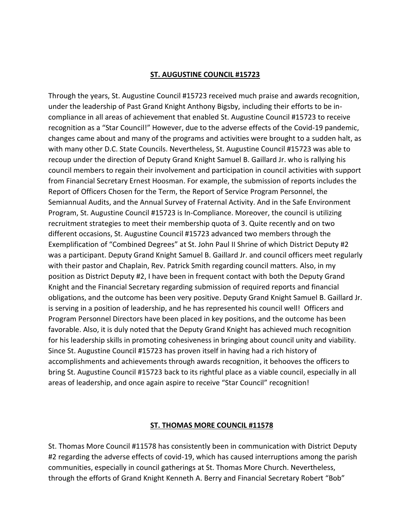# **ST. AUGUSTINE COUNCIL #15723**

Through the years, St. Augustine Council #15723 received much praise and awards recognition, under the leadership of Past Grand Knight Anthony Bigsby, including their efforts to be incompliance in all areas of achievement that enabled St. Augustine Council #15723 to receive recognition as a "Star Council!" However, due to the adverse effects of the Covid-19 pandemic, changes came about and many of the programs and activities were brought to a sudden halt, as with many other D.C. State Councils. Nevertheless, St. Augustine Council #15723 was able to recoup under the direction of Deputy Grand Knight Samuel B. Gaillard Jr. who is rallying his council members to regain their involvement and participation in council activities with support from Financial Secretary Ernest Hoosman. For example, the submission of reports includes the Report of Officers Chosen for the Term, the Report of Service Program Personnel, the Semiannual Audits, and the Annual Survey of Fraternal Activity. And in the Safe Environment Program, St. Augustine Council #15723 is In-Compliance. Moreover, the council is utilizing recruitment strategies to meet their membership quota of 3. Quite recently and on two different occasions, St. Augustine Council #15723 advanced two members through the Exemplification of "Combined Degrees" at St. John Paul II Shrine of which District Deputy #2 was a participant. Deputy Grand Knight Samuel B. Gaillard Jr. and council officers meet regularly with their pastor and Chaplain, Rev. Patrick Smith regarding council matters. Also, in my position as District Deputy #2, I have been in frequent contact with both the Deputy Grand Knight and the Financial Secretary regarding submission of required reports and financial obligations, and the outcome has been very positive. Deputy Grand Knight Samuel B. Gaillard Jr. is serving in a position of leadership, and he has represented his council well! Officers and Program Personnel Directors have been placed in key positions, and the outcome has been favorable. Also, it is duly noted that the Deputy Grand Knight has achieved much recognition for his leadership skills in promoting cohesiveness in bringing about council unity and viability. Since St. Augustine Council #15723 has proven itself in having had a rich history of accomplishments and achievements through awards recognition, it behooves the officers to bring St. Augustine Council #15723 back to its rightful place as a viable council, especially in all areas of leadership, and once again aspire to receive "Star Council" recognition!

# **ST. THOMAS MORE COUNCIL #11578**

St. Thomas More Council #11578 has consistently been in communication with District Deputy #2 regarding the adverse effects of covid-19, which has caused interruptions among the parish communities, especially in council gatherings at St. Thomas More Church. Nevertheless, through the efforts of Grand Knight Kenneth A. Berry and Financial Secretary Robert "Bob"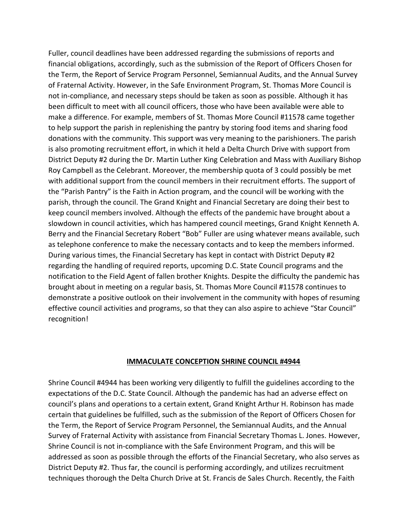Fuller, council deadlines have been addressed regarding the submissions of reports and financial obligations, accordingly, such as the submission of the Report of Officers Chosen for the Term, the Report of Service Program Personnel, Semiannual Audits, and the Annual Survey of Fraternal Activity. However, in the Safe Environment Program, St. Thomas More Council is not in-compliance, and necessary steps should be taken as soon as possible. Although it has been difficult to meet with all council officers, those who have been available were able to make a difference. For example, members of St. Thomas More Council #11578 came together to help support the parish in replenishing the pantry by storing food items and sharing food donations with the community. This support was very meaning to the parishioners. The parish is also promoting recruitment effort, in which it held a Delta Church Drive with support from District Deputy #2 during the Dr. Martin Luther King Celebration and Mass with Auxiliary Bishop Roy Campbell as the Celebrant. Moreover, the membership quota of 3 could possibly be met with additional support from the council members in their recruitment efforts. The support of the "Parish Pantry" is the Faith in Action program, and the council will be working with the parish, through the council. The Grand Knight and Financial Secretary are doing their best to keep council members involved. Although the effects of the pandemic have brought about a slowdown in council activities, which has hampered council meetings, Grand Knight Kenneth A. Berry and the Financial Secretary Robert "Bob" Fuller are using whatever means available, such as telephone conference to make the necessary contacts and to keep the members informed. During various times, the Financial Secretary has kept in contact with District Deputy #2 regarding the handling of required reports, upcoming D.C. State Council programs and the notification to the Field Agent of fallen brother Knights. Despite the difficulty the pandemic has brought about in meeting on a regular basis, St. Thomas More Council #11578 continues to demonstrate a positive outlook on their involvement in the community with hopes of resuming effective council activities and programs, so that they can also aspire to achieve "Star Council" recognition!

# **IMMACULATE CONCEPTION SHRINE COUNCIL #4944**

Shrine Council #4944 has been working very diligently to fulfill the guidelines according to the expectations of the D.C. State Council. Although the pandemic has had an adverse effect on council's plans and operations to a certain extent, Grand Knight Arthur H. Robinson has made certain that guidelines be fulfilled, such as the submission of the Report of Officers Chosen for the Term, the Report of Service Program Personnel, the Semiannual Audits, and the Annual Survey of Fraternal Activity with assistance from Financial Secretary Thomas L. Jones. However, Shrine Council is not in-compliance with the Safe Environment Program, and this will be addressed as soon as possible through the efforts of the Financial Secretary, who also serves as District Deputy #2. Thus far, the council is performing accordingly, and utilizes recruitment techniques thorough the Delta Church Drive at St. Francis de Sales Church. Recently, the Faith